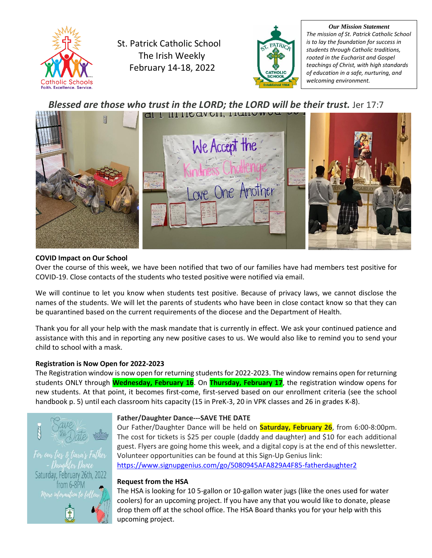

St. Patrick Catholic School The Irish Weekly February 14-18, 2022



*Our Mission Statement The mission of St. Patrick Catholic School is to lay the foundation for success in students through Catholic traditions, rooted in the Eucharist and Gospel teachings of Christ, with high standards of education in a safe, nurturing, and welcoming environment.*

### *Blessed are those who trust in the LORD; the LORD will be their trust.* Jer 17:7



#### **COVID Impact on Our School**

Over the course of this week, we have been notified that two of our families have had members test positive for COVID-19. Close contacts of the students who tested positive were notified via email.

We will continue to let you know when students test positive. Because of privacy laws, we cannot disclose the names of the students. We will let the parents of students who have been in close contact know so that they can be quarantined based on the current requirements of the diocese and the Department of Health.

Thank you for all your help with the mask mandate that is currently in effect. We ask your continued patience and assistance with this and in reporting any new positive cases to us. We would also like to remind you to send your child to school with a mask.

#### **Registration is Now Open for 2022-2023**

The Registration window is now open for returning students for 2022-2023. The window remains open for returning students ONLY through **Wednesday, February 16**. On **Thursday, February 17**, the registration window opens for new students. At that point, it becomes first-come, first-served based on our enrollment criteria (see the school handbook p. 5) until each classroom hits capacity (15 in PreK-3, 20 in VPK classes and 26 in grades K-8).



#### **Father/Daughter Dance---SAVE THE DATE**

Our Father/Daughter Dance will be held on **Saturday, February 26**, from 6:00-8:00pm. The cost for tickets is \$25 per couple (daddy and daughter) and \$10 for each additional guest. Flyers are going home this week, and a digital copy is at the end of this newsletter. Volunteer opportunities can be found at this Sign-Up Genius link: <https://www.signupgenius.com/go/5080945AFA829A4F85-fatherdaughter2>

#### **Request from the HSA**

The HSA is looking for 10 5-gallon or 10-gallon water jugs (like the ones used for water coolers) for an upcoming project. If you have any that you would like to donate, please drop them off at the school office. The HSA Board thanks you for your help with this upcoming project.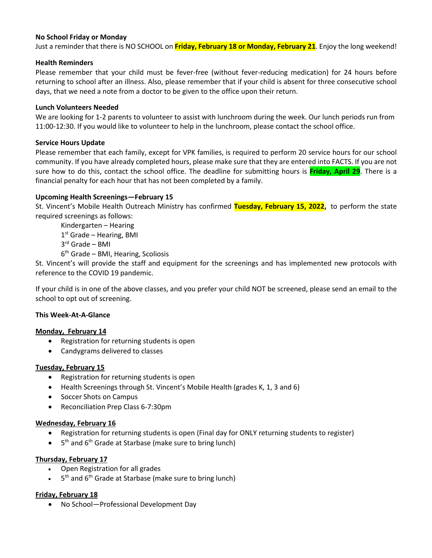#### **No School Friday or Monday**

Just a reminder that there is NO SCHOOL on **Friday, February 18 or Monday, February 21**. Enjoy the long weekend!

#### **Health Reminders**

Please remember that your child must be fever-free (without fever-reducing medication) for 24 hours before returning to school after an illness. Also, please remember that if your child is absent for three consecutive school days, that we need a note from a doctor to be given to the office upon their return.

#### **Lunch Volunteers Needed**

We are looking for 1-2 parents to volunteer to assist with lunchroom during the week. Our lunch periods run from 11:00-12:30. If you would like to volunteer to help in the lunchroom, please contact the school office.

#### **Service Hours Update**

Please remember that each family, except for VPK families, is required to perform 20 service hours for our school community. If you have already completed hours, please make sure that they are entered into FACTS. If you are not sure how to do this, contact the school office. The deadline for submitting hours is **Friday, April 29**. There is a financial penalty for each hour that has not been completed by a family.

#### **Upcoming Health Screenings—February 15**

St. Vincent's Mobile Health Outreach Ministry has confirmed **Tuesday, February 15, 2022,** to perform the state required screenings as follows:

Kindergarten – Hearing 1st Grade - Hearing, BMI

3 rd Grade – BMI

6 th Grade – BMI, Hearing, Scoliosis

St. Vincent's will provide the staff and equipment for the screenings and has implemented new protocols with reference to the COVID 19 pandemic.

If your child is in one of the above classes, and you prefer your child NOT be screened, please send an email to the school to opt out of screening.

#### **This Week-At-A-Glance**

#### **Monday, February 14**

- Registration for returning students is open
- Candygrams delivered to classes

#### **Tuesday, February 15**

- Registration for returning students is open
- Health Screenings through St. Vincent's Mobile Health (grades K, 1, 3 and 6)
- Soccer Shots on Campus
- Reconciliation Prep Class 6-7:30pm

#### **Wednesday, February 16**

- Registration for returning students is open (Final day for ONLY returning students to register)
- $\bullet$  5<sup>th</sup> and 6<sup>th</sup> Grade at Starbase (make sure to bring lunch)

#### **Thursday, February 17**

- Open Registration for all grades
- 5 5<sup>th</sup> and 6<sup>th</sup> Grade at Starbase (make sure to bring lunch)

#### **Friday, February 18**

• No School—Professional Development Day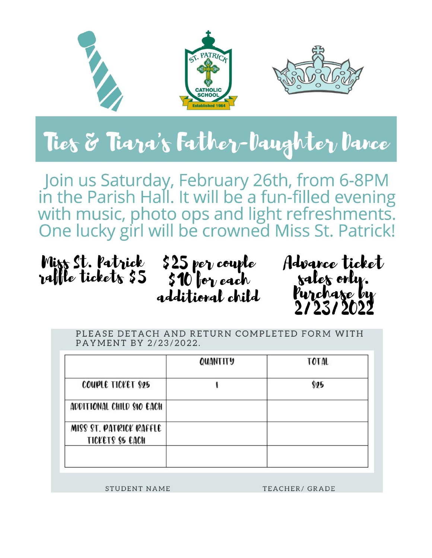

## Ties & Tiara's Father-Daughter Dance

Join us Saturday, February 26th, from 6-8PM<br>in the Parish Hall. It will be a fun-filled evening with music, photo ops and light refreshments.<br>One lucky girl will be crowned Miss St. Patrick!







PLEASE DETACH AND RETURN COMPLETED FORM WITH PAYMENT BY 2/23/2022.

|                                                    | QUANTITY | <b>TOTAL</b> |
|----------------------------------------------------|----------|--------------|
| COUPLE TICKET \$25                                 |          | \$25         |
| ADDITIONAL CHILD SIO EACH                          |          |              |
| MISS ST. PATRICK RAFFLE<br><b>TICKETS \$2 EACH</b> |          |              |
|                                                    |          |              |

**STUDENT NAME** 

TEACHER/ GRADE